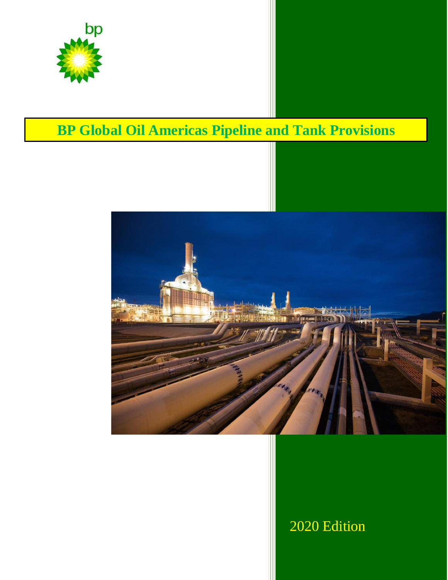

# **BP Global Oil Americas Pipeline and Tank Provisions**



## 2020 Edition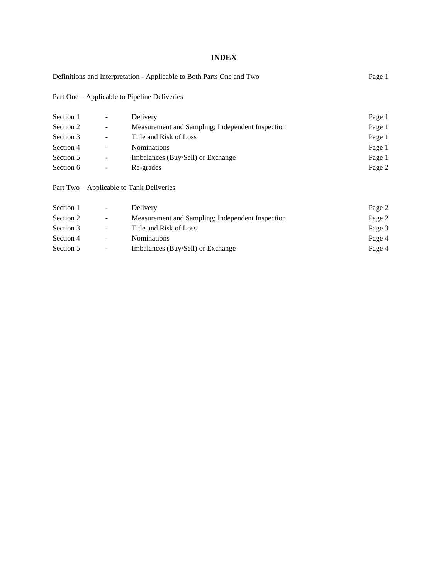### **INDEX**

| Definitions and Interpretation - Applicable to Both Parts One and Two | Page 1 |
|-----------------------------------------------------------------------|--------|
|-----------------------------------------------------------------------|--------|

Part One – Applicable to Pipeline Deliveries

| Section 1 | $\overline{\phantom{a}}$ | Delivery                                         | Page 1 |
|-----------|--------------------------|--------------------------------------------------|--------|
| Section 2 | $\overline{\phantom{a}}$ | Measurement and Sampling; Independent Inspection | Page 1 |
| Section 3 | -                        | Title and Risk of Loss                           | Page 1 |
| Section 4 | -                        | <b>Nominations</b>                               | Page 1 |
| Section 5 | $\sim$                   | Imbalances (Buy/Sell) or Exchange                | Page 1 |
| Section 6 | $\overline{\phantom{a}}$ | Re-grades                                        | Page 2 |

Part Two – Applicable to Tank Deliveries

| Section 1 | $\overline{\phantom{a}}$ | Delivery                                         | Page 2 |
|-----------|--------------------------|--------------------------------------------------|--------|
| Section 2 | $\sim$                   | Measurement and Sampling; Independent Inspection | Page 2 |
| Section 3 | $\sim$                   | Title and Risk of Loss                           | Page 3 |
| Section 4 | $\sim$                   | <b>Nominations</b>                               | Page 4 |
| Section 5 | $\sim$                   | Imbalances (Buy/Sell) or Exchange                | Page 4 |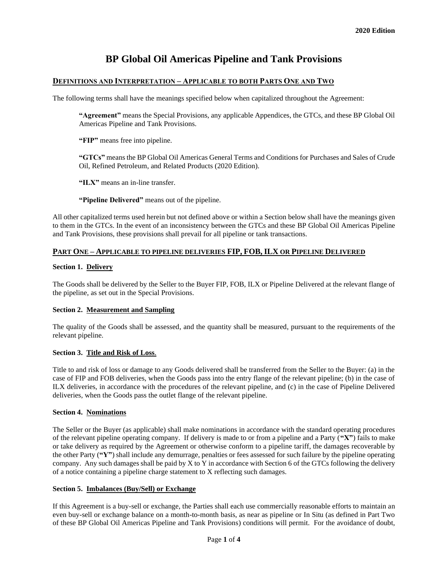## **BP Global Oil Americas Pipeline and Tank Provisions**

#### **DEFINITIONS AND INTERPRETATION – APPLICABLE TO BOTH PARTS ONE AND TWO**

The following terms shall have the meanings specified below when capitalized throughout the Agreement:

**"Agreement"** means the Special Provisions, any applicable Appendices, the GTCs, and these BP Global Oil Americas Pipeline and Tank Provisions.

**"FIP"** means free into pipeline.

**"GTCs"** means the BP Global Oil Americas General Terms and Conditions for Purchases and Sales of Crude Oil, Refined Petroleum, and Related Products (2020 Edition).

**"ILX"** means an in-line transfer.

**"Pipeline Delivered"** means out of the pipeline.

All other capitalized terms used herein but not defined above or within a Section below shall have the meanings given to them in the GTCs. In the event of an inconsistency between the GTCs and these BP Global Oil Americas Pipeline and Tank Provisions, these provisions shall prevail for all pipeline or tank transactions.

#### **PART ONE – APPLICABLE TO PIPELINE DELIVERIES FIP, FOB,ILX OR PIPELINE DELIVERED**

#### **Section 1. Delivery**

The Goods shall be delivered by the Seller to the Buyer FIP, FOB, ILX or Pipeline Delivered at the relevant flange of the pipeline, as set out in the Special Provisions.

#### **Section 2. Measurement and Sampling**

The quality of the Goods shall be assessed, and the quantity shall be measured, pursuant to the requirements of the relevant pipeline.

#### **Section 3. Title and Risk of Loss**.

Title to and risk of loss or damage to any Goods delivered shall be transferred from the Seller to the Buyer: (a) in the case of FIP and FOB deliveries, when the Goods pass into the entry flange of the relevant pipeline; (b) in the case of ILX deliveries, in accordance with the procedures of the relevant pipeline, and (c) in the case of Pipeline Delivered deliveries, when the Goods pass the outlet flange of the relevant pipeline.

#### **Section 4. Nominations**

The Seller or the Buyer (as applicable) shall make nominations in accordance with the standard operating procedures of the relevant pipeline operating company. If delivery is made to or from a pipeline and a Party (**"X"**) fails to make or take delivery as required by the Agreement or otherwise conform to a pipeline tariff, the damages recoverable by the other Party (**"Y"**) shall include any demurrage, penalties or fees assessed for such failure by the pipeline operating company. Any such damages shall be paid by X to Y in accordance with Section 6 of the GTCs following the delivery of a notice containing a pipeline charge statement to X reflecting such damages.

#### **Section 5. Imbalances (Buy/Sell) or Exchange**

If this Agreement is a buy-sell or exchange, the Parties shall each use commercially reasonable efforts to maintain an even buy-sell or exchange balance on a month-to-month basis, as near as pipeline or In Situ (as defined in Part Two of these BP Global Oil Americas Pipeline and Tank Provisions) conditions will permit. For the avoidance of doubt,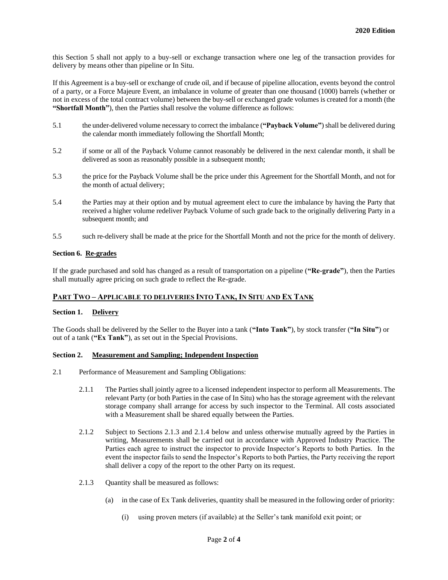this Section 5 shall not apply to a buy-sell or exchange transaction where one leg of the transaction provides for delivery by means other than pipeline or In Situ.

If this Agreement is a buy-sell or exchange of crude oil, and if because of pipeline allocation, events beyond the control of a party, or a Force Majeure Event, an imbalance in volume of greater than one thousand (1000) barrels (whether or not in excess of the total contract volume) between the buy-sell or exchanged grade volumes is created for a month (the **"Shortfall Month"**), then the Parties shall resolve the volume difference as follows:

- 5.1 the under-delivered volume necessary to correct the imbalance (**"Payback Volume"**) shall be delivered during the calendar month immediately following the Shortfall Month;
- 5.2 if some or all of the Payback Volume cannot reasonably be delivered in the next calendar month, it shall be delivered as soon as reasonably possible in a subsequent month;
- 5.3 the price for the Payback Volume shall be the price under this Agreement for the Shortfall Month, and not for the month of actual delivery;
- 5.4 the Parties may at their option and by mutual agreement elect to cure the imbalance by having the Party that received a higher volume redeliver Payback Volume of such grade back to the originally delivering Party in a subsequent month; and
- 5.5 such re-delivery shall be made at the price for the Shortfall Month and not the price for the month of delivery.

#### **Section 6. Re-grades**

If the grade purchased and sold has changed as a result of transportation on a pipeline (**"Re-grade"**), then the Parties shall mutually agree pricing on such grade to reflect the Re-grade.

#### **PART TWO – APPLICABLE TO DELIVERIES INTO TANK, IN SITU AND EX TANK**

#### **Section 1. Delivery**

The Goods shall be delivered by the Seller to the Buyer into a tank (**"Into Tank"**), by stock transfer (**"In Situ"**) or out of a tank (**"Ex Tank"**), as set out in the Special Provisions.

#### **Section 2. Measurement and Sampling; Independent Inspection**

- 2.1 Performance of Measurement and Sampling Obligations:
	- 2.1.1 The Parties shall jointly agree to a licensed independent inspector to perform all Measurements. The relevant Party (or both Parties in the case of In Situ) who has the storage agreement with the relevant storage company shall arrange for access by such inspector to the Terminal. All costs associated with a Measurement shall be shared equally between the Parties.
	- 2.1.2 Subject to Sections 2.1.3 and 2.1.4 below and unless otherwise mutually agreed by the Parties in writing, Measurements shall be carried out in accordance with Approved Industry Practice. The Parties each agree to instruct the inspector to provide Inspector's Reports to both Parties. In the event the inspector fails to send the Inspector's Reports to both Parties, the Party receiving the report shall deliver a copy of the report to the other Party on its request.
	- 2.1.3 Quantity shall be measured as follows:
		- (a) in the case of Ex Tank deliveries, quantity shall be measured in the following order of priority:
			- (i) using proven meters (if available) at the Seller's tank manifold exit point; or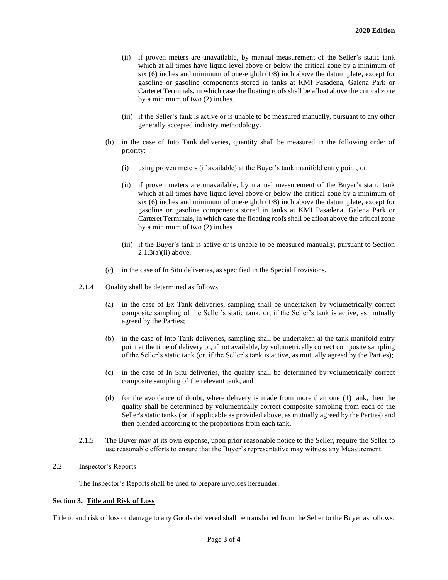- (ii) if proven meters are unavailable, by manual measurement of the Seller's static tank which at all times have liquid level above or below the critical zone by a minimum of six (6) inches and minimum of one-eighth (1/8) inch above the datum plate, except for gasoline or gasoline components stored in tanks at KMI Pasadena, Galena Park or Carteret Terminals, in which case the floating roofs shall be afloat above the critical zone by a minimum of two (2) inches.
- (iii) if the Seller's tank is active or is unable to be measured manually, pursuant to any other generally accepted industry methodology.
- (b) in the case of Into Tank deliveries, quantity shall be measured in the following order of priority:
	- (i) using proven meters (if available) at the Buyer's tank manifold entry point; or
	- (ii) if proven meters are unavailable, by manual measurement of the Buyer's static tank which at all times have liquid level above or below the critical zone by a minimum of six (6) inches and minimum of one-eighth (1/8) inch above the datum plate, except for gasoline or gasoline components stored in tanks at KMI Pasadena, Galena Park or Carteret Terminals, in which case the floating roofs shall be afloat above the critical zone by a minimum of two (2) inches
	- (iii) if the Buyer's tank is active or is unable to be measured manually, pursuant to Section  $2.1.3(a)(ii)$  above.
- (c) in the case of In Situ deliveries, as specified in the Special Provisions.
- 2.1.4 Quality shall be determined as follows:
	- (a) in the case of Ex Tank deliveries, sampling shall be undertaken by volumetrically correct composite sampling of the Seller's static tank, or, if the Seller's tank is active, as mutually agreed by the Parties;
	- (b) in the case of Into Tank deliveries, sampling shall be undertaken at the tank manifold entry point at the time of delivery or, if not available, by volumetrically correct composite sampling of the Seller's static tank (or, if the Seller's tank is active, as mutually agreed by the Parties);
	- (c) in the case of In Situ deliveries, the quality shall be determined by volumetrically correct composite sampling of the relevant tank; and
	- (d) for the avoidance of doubt, where delivery is made from more than one (1) tank, then the quality shall be determined by volumetrically correct composite sampling from each of the Seller's static tanks (or, if applicable as provided above, as mutually agreed by the Parties) and then blended according to the proportions from each tank.
- 2.1.5 The Buyer may at its own expense, upon prior reasonable notice to the Seller, require the Seller to use reasonable efforts to ensure that the Buyer's representative may witness any Measurement.
- 2.2 Inspector's Reports

The Inspector's Reports shall be used to prepare invoices hereunder.

#### **Section 3. Title and Risk of Loss**

Title to and risk of loss or damage to any Goods delivered shall be transferred from the Seller to the Buyer as follows: